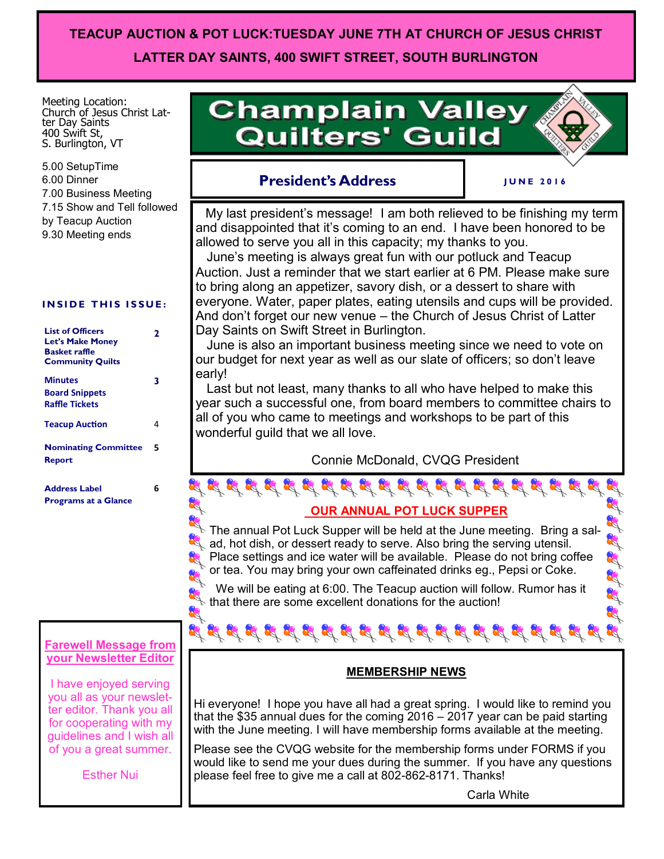# **TEACUP AUCTION & POT LUCK:TUESDAY JUNE 7TH AT CHURCH OF JESUS CHRIST LATTER DAY SAINTS, 400 SWIFT STREET, SOUTH BURLINGTON**

Meeting Location: Church of Jesus Christ Latter Day Saints 400 Swift St, S. Burlington, VT

5.00 SetupTime 6.00 Dinner 7.00 Business Meeting 7.15 Show and Tell followed by Teacup Auction 9.30 Meeting ends

#### **INSIDE THIS ISSUE:**

| <b>List of Officers</b><br><b>Let's Make Money</b><br>Basket raffle<br><b>Community Quilts</b> | 2 |
|------------------------------------------------------------------------------------------------|---|
| Minutes<br><b>Board Snippets</b><br><b>Raffle Tickets</b>                                      | 3 |
| <b>Teacup Auction</b>                                                                          | 4 |
| <b>Nominating Committee</b><br><b>Report</b>                                                   | 5 |
| <b>Address Label</b><br><b>Programs at a Glance</b>                                            | 6 |

#### **Farewell Message from your Newsletter Editor**

 $\mathcal{L}$ 

I have enjoyed serving you all as your newsletter editor. Thank you all for cooperating with my guidelines and I wish all of you a great summer.

Esther Nui

# **Champlain Valley Quilters' Guild**

# **President's Address**

**J U N E 2 0 1 6**

of of of the

 My last president's message! I am both relieved to be finishing my term and disappointed that it's coming to an end. I have been honored to be allowed to serve you all in this capacity; my thanks to you.

 June's meeting is always great fun with our potluck and Teacup Auction. Just a reminder that we start earlier at 6 PM. Please make sure to bring along an appetizer, savory dish, or a dessert to share with everyone. Water, paper plates, eating utensils and cups will be provided. And don't forget our new venue – the Church of Jesus Christ of Latter Day Saints on Swift Street in Burlington.

 June is also an important business meeting since we need to vote on our budget for next year as well as our slate of officers; so don't leave early!

 Last but not least, many thanks to all who have helped to make this year such a successful one, from board members to committee chairs to all of you who came to meetings and workshops to be part of this wonderful guild that we all love.

Connie McDonald, CVQG President

 **OUR ANNUAL POT LUCK SUPPER**

 $\mathbb N$  The annual Pot Luck Supper will be held at the June meeting. Bring a sal- $\mathbb{R}$  ad, hot dish, or dessert ready to serve. Also bring the serving utensil. Place settings and ice water will be available. Please do not bring coffee or tea. You may bring your own caffeinated drinks eg., Pepsi or Coke.

 We will be eating at 6:00. The Teacup auction will follow. Rumor has it  $\mathbf k$  that there are some excellent donations for the auction!

### **MEMBERSHIP NEWS**

Hi everyone! I hope you have all had a great spring. I would like to remind you that the \$35 annual dues for the coming 2016 – 2017 year can be paid starting with the June meeting. I will have membership forms available at the meeting.

Please see the CVQG website for the membership forms under FORMS if you would like to send me your dues during the summer. If you have any questions please feel free to give me a call at 802-862-8171. Thanks!

Carla White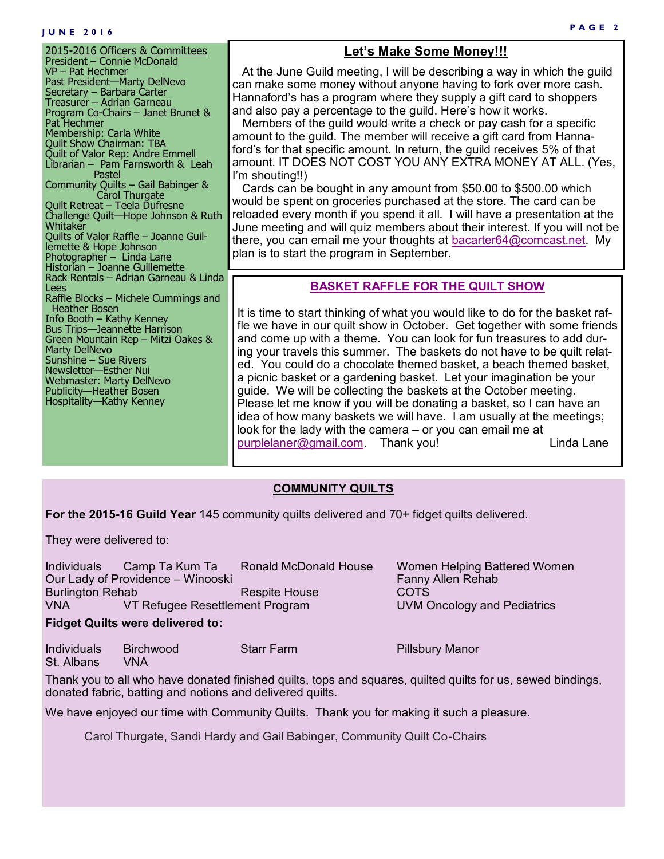#### **J U N E 2 0 1 6**

2015-2016 Officers & Committees President – Connie McDonald VP – Pat Hechmer Past President—Marty DelNevo Secretary – Barbara Carter Treasurer – Adrian Garneau Program Co-Chairs – Janet Brunet & Pat Hechmer Membership: Carla White Quilt Show Chairman: TBA Quilt of Valor Rep: Andre Emmell Librarian – Pam Farnsworth & Leah Pastel Community Quilts – Gail Babinger & **Carol Thurgate** Quilt Retreat – Teela Dufresne Challenge Quilt—Hope Johnson & Ruth Whitaker Quilts of Valor Raffle – Joanne Guillemette & Hope Johnson Photographer – Linda Lane Historian – Joanne Guillemette Rack Rentals – Adrian Garneau & Linda Lees Raffle Blocks – Michele Cummings and Heather Bosen Info Booth – Kathy Kenney Bus Trips—Jeannette Harrison Green Mountain Rep – Mitzi Oakes & Marty DelNevo Sunshine – Sue Rivers Newsletter—Esther Nui Webmaster: Marty DelNevo Publicity—Heather Bosen Hospitality—Kathy Kenney

### **Let's Make Some Money!!!**

 At the June Guild meeting, I will be describing a way in which the guild can make some money without anyone having to fork over more cash. Hannaford's has a program where they supply a gift card to shoppers and also pay a percentage to the guild. Here's how it works.

 Members of the guild would write a check or pay cash for a specific amount to the guild. The member will receive a gift card from Hannaford's for that specific amount. In return, the guild receives 5% of that amount. IT DOES NOT COST YOU ANY EXTRA MONEY AT ALL. (Yes, I'm shouting!!)

 Cards can be bought in any amount from \$50.00 to \$500.00 which would be spent on groceries purchased at the store. The card can be reloaded every month if you spend it all. I will have a presentation at the June meeting and will quiz members about their interest. If you will not be there, you can email me your thoughts at [bacarter64@comcast.net.](mailto:bacarter64@comcast.net) My plan is to start the program in September.

#### **BASKET RAFFLE FOR THE QUILT SHOW**

It is time to start thinking of what you would like to do for the basket raffle we have in our quilt show in October. Get together with some friends and come up with a theme. You can look for fun treasures to add during your travels this summer. The baskets do not have to be quilt related. You could do a chocolate themed basket, a beach themed basket, a picnic basket or a gardening basket. Let your imagination be your guide. We will be collecting the baskets at the October meeting. Please let me know if you will be donating a basket, so I can have an idea of how many baskets we will have. I am usually at the meetings; look for the lady with the camera – or you can email me at [purplelaner@gmail.com.](mailto:purplelaner@gmail.com) Thank you! Linda Lane

#### **COMMUNITY QUILTS**

**For the 2015-16 Guild Year** 145 community quilts delivered and 70+ fidget quilts delivered.

They were delivered to:

| Individuals 7                           | Camp Ta Kum Ta                    | <b>Ronald McDonald House</b> | Women Helping Battered Women |  |
|-----------------------------------------|-----------------------------------|------------------------------|------------------------------|--|
|                                         | Our Lady of Providence - Winooski |                              | <b>Fanny Allen Rehab</b>     |  |
| <b>Burlington Rehab</b>                 |                                   | Respite House                | COTS                         |  |
| <b>VNA</b>                              | VT Refugee Resettlement Program   |                              | UVM Oncology and Pediatrics  |  |
| <b>Fidget Quilts were delivered to:</b> |                                   |                              |                              |  |

Individuals Birchwood Starr Farm Pillsbury Manor St. Albans VNA

Thank you to all who have donated finished quilts, tops and squares, quilted quilts for us, sewed bindings, donated fabric, batting and notions and delivered quilts.

We have enjoyed our time with Community Quilts. Thank you for making it such a pleasure.

Carol Thurgate, Sandi Hardy and Gail Babinger, Community Quilt Co-Chairs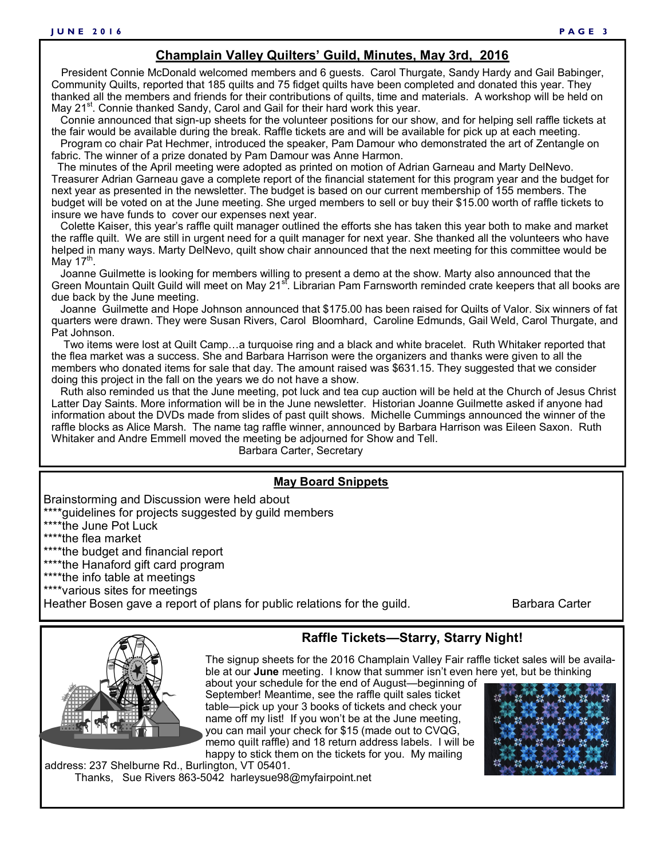#### **Champlain Valley Quilters' Guild, Minutes, May 3rd, 2016**

 President Connie McDonald welcomed members and 6 guests. Carol Thurgate, Sandy Hardy and Gail Babinger, Community Quilts, reported that 185 quilts and 75 fidget quilts have been completed and donated this year. They thanked all the members and friends for their contributions of quilts, time and materials. A workshop will be held on May 21<sup>st</sup>. Connie thanked Sandy, Carol and Gail for their hard work this year.

 Connie announced that sign-up sheets for the volunteer positions for our show, and for helping sell raffle tickets at the fair would be available during the break. Raffle tickets are and will be available for pick up at each meeting.

 Program co chair Pat Hechmer, introduced the speaker, Pam Damour who demonstrated the art of Zentangle on fabric. The winner of a prize donated by Pam Damour was Anne Harmon.

 The minutes of the April meeting were adopted as printed on motion of Adrian Garneau and Marty DelNevo. Treasurer Adrian Garneau gave a complete report of the financial statement for this program year and the budget for next year as presented in the newsletter. The budget is based on our current membership of 155 members. The budget will be voted on at the June meeting. She urged members to sell or buy their \$15.00 worth of raffle tickets to insure we have funds to cover our expenses next year.

 Colette Kaiser, this year's raffle quilt manager outlined the efforts she has taken this year both to make and market the raffle quilt. We are still in urgent need for a quilt manager for next year. She thanked all the volunteers who have helped in many ways. Marty DelNevo, quilt show chair announced that the next meeting for this committee would be May 17<sup>th</sup>.

 Joanne Guilmette is looking for members willing to present a demo at the show. Marty also announced that the Green Mountain Quilt Guild will meet on May 21<sup>st</sup>. Librarian Pam Farnsworth reminded crate keepers that all books are due back by the June meeting.

 Joanne Guilmette and Hope Johnson announced that \$175.00 has been raised for Quilts of Valor. Six winners of fat quarters were drawn. They were Susan Rivers, Carol Bloomhard, Caroline Edmunds, Gail Weld, Carol Thurgate, and Pat Johnson.

 Two items were lost at Quilt Camp…a turquoise ring and a black and white bracelet. Ruth Whitaker reported that the flea market was a success. She and Barbara Harrison were the organizers and thanks were given to all the members who donated items for sale that day. The amount raised was \$631.15. They suggested that we consider doing this project in the fall on the years we do not have a show.

 Ruth also reminded us that the June meeting, pot luck and tea cup auction will be held at the Church of Jesus Christ Latter Day Saints. More information will be in the June newsletter. Historian Joanne Guilmette asked if anyone had information about the DVDs made from slides of past quilt shows. Michelle Cummings announced the winner of the raffle blocks as Alice Marsh. The name tag raffle winner, announced by Barbara Harrison was Eileen Saxon. Ruth Whitaker and Andre Emmell moved the meeting be adjourned for Show and Tell.

Barbara Carter, Secretary

#### **May Board Snippets**

Brainstorming and Discussion were held about

\*\*\*\*quidelines for projects suggested by guild members

\*\*\*\*the June Pot Luck

\*\*\*\*the flea market

\*\*\*\*the budget and financial report

\*\*\*\*the Hanaford gift card program

\*\*\*\*the info table at meetings

\*\*\*\*various sites for meetings

Heather Bosen gave a report of plans for public relations for the guild. Barbara Carter



#### **Raffle Tickets—Starry, Starry Night!**

The signup sheets for the 2016 Champlain Valley Fair raffle ticket sales will be available at our **June** meeting. I know that summer isn't even here yet, but be thinking

about your schedule for the end of August—beginning of September! Meantime, see the raffle quilt sales ticket table—pick up your 3 books of tickets and check your name off my list! If you won't be at the June meeting, you can mail your check for \$15 (made out to CVQG, memo quilt raffle) and 18 return address labels. I will be happy to stick them on the tickets for you. My mailing



address: 237 Shelburne Rd., Burlington, VT 05401. Thanks, Sue Rivers 863-5042 harleysue98@myfairpoint.net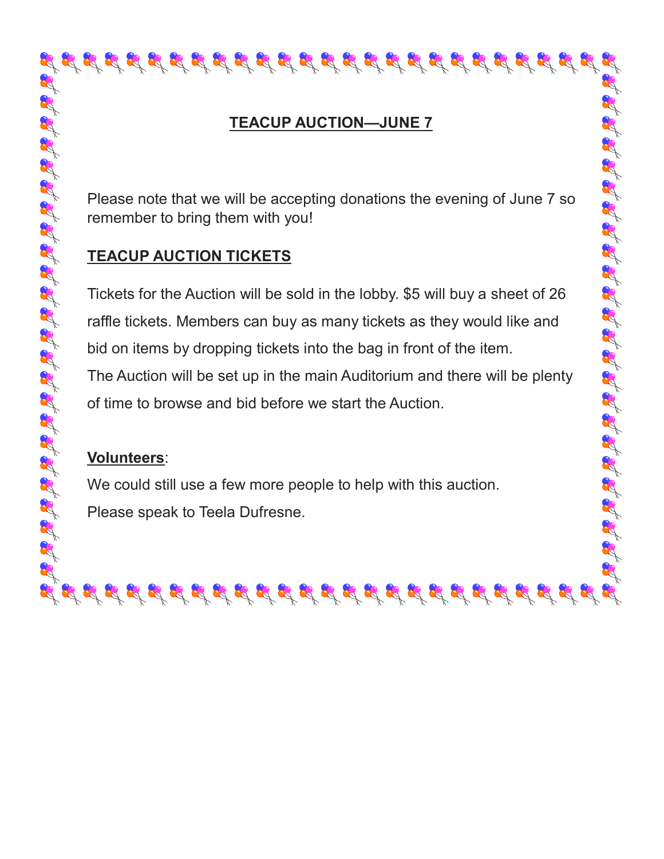# **TEACUP AUCTION—JUNE 7**

Please note that we will be accepting donations the evening of June 7 so remember to bring them with you!

# **TEACUP AUCTION TICKETS**

Tickets for the Auction will be sold in the lobby. \$5 will buy a sheet of 26 raffle tickets. Members can buy as many tickets as they would like and bid on items by dropping tickets into the bag in front of the item. The Auction will be set up in the main Auditorium and there will be plenty of time to browse and bid before we start the Auction.

 $\mathcal{A} \mathcal{A} \mathcal{A} \mathcal{A} \mathcal{A} \mathcal{A} \mathcal{A} \mathcal{A} \mathcal{A} \mathcal{A} \mathcal{A} \mathcal{A} \mathcal{A} \mathcal{A} \mathcal{A} \mathcal{A} \mathcal{A} \mathcal{A} \mathcal{A} \mathcal{A} \mathcal{A} \mathcal{A} \mathcal{A} \mathcal{A} \mathcal{A} \mathcal{A} \mathcal{A} \mathcal{A} \mathcal{A} \mathcal{A} \mathcal{A} \mathcal{A} \mathcal{A} \mathcal{A} \mathcal{A} \mathcal{A} \mathcal{$ 

# **Volunteers**:

We could still use a few more people to help with this auction. Please speak to Teela Dufresne.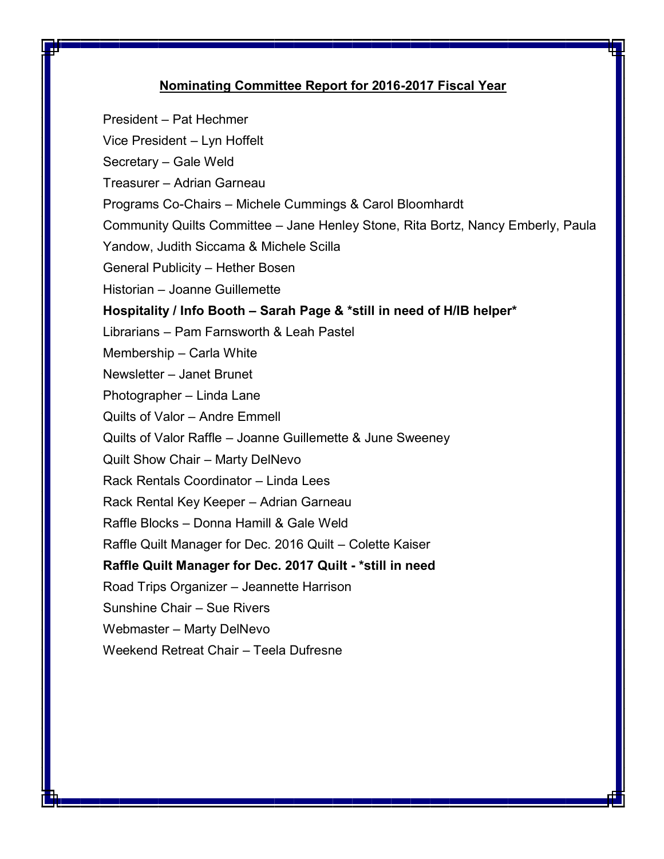#### **Nominating Committee Report for 2016-2017 Fiscal Year**

President – Pat Hechmer

Vice President – Lyn Hoffelt

Secretary – Gale Weld

Treasurer – Adrian Garneau

Programs Co-Chairs – Michele Cummings & Carol Bloomhardt

Community Quilts Committee – Jane Henley Stone, Rita Bortz, Nancy Emberly, Paula

Yandow, Judith Siccama & Michele Scilla

General Publicity – Hether Bosen

Historian – Joanne Guillemette

**Hospitality / Info Booth – Sarah Page & \*still in need of H/IB helper\***

Librarians – Pam Farnsworth & Leah Pastel

Membership – Carla White

Newsletter – Janet Brunet

Photographer – Linda Lane

Quilts of Valor – Andre Emmell

Quilts of Valor Raffle – Joanne Guillemette & June Sweeney

Quilt Show Chair – Marty DelNevo

Rack Rentals Coordinator – Linda Lees

Rack Rental Key Keeper – Adrian Garneau

Raffle Blocks – Donna Hamill & Gale Weld

Raffle Quilt Manager for Dec. 2016 Quilt – Colette Kaiser

**Raffle Quilt Manager for Dec. 2017 Quilt - \*still in need**

Road Trips Organizer – Jeannette Harrison

Sunshine Chair – Sue Rivers

Webmaster – Marty DelNevo

Weekend Retreat Chair – Teela Dufresne